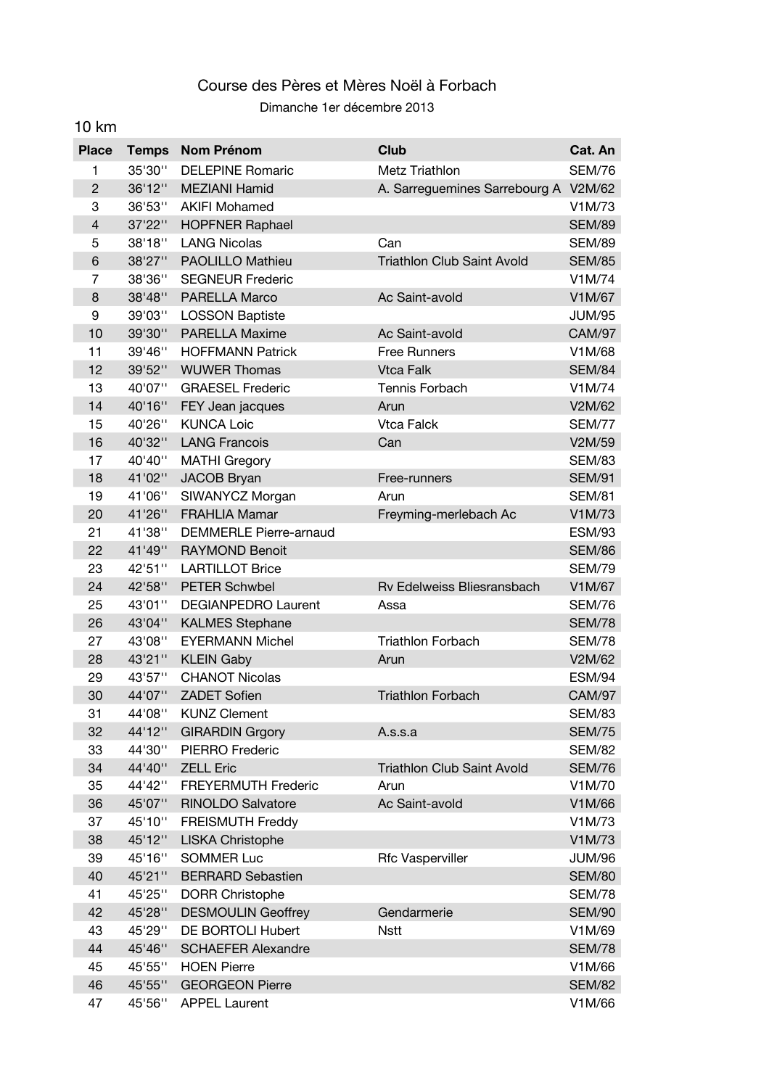## Course des Pères et Mères Noël à Forbach Dimanche 1er décembre 2013

10 km

## **Place Temps Nom Prénom Club Cat. An** 1 35'30'' DELEPINE Romaric Metz Triathlon SEM/76 2 36'12" MEZIANI Hamid A. Sarreguemines Sarrebourg A V2M/62 3 36'53'' AKIFI Mohamed V1M/73 4 37'22" HOPFNER Raphael SEM/89 5 38'18'' LANG Nicolas Can SEM/89 6 38'27" PAOLILLO Mathieu Triathlon Club Saint Avold SEM/85 7 38'36'' SEGNEUR Frederic V1M/74 8 38'48" PARELLA Marco Ac Saint-avold V1M/67 9 39'03'' LOSSON Baptiste JUM/95 10 39'30'' PARELLA Maxime Ac Saint-avold CAM/97 11 39'46" HOFFMANN Patrick Free Runners V1M/68 12 39'52" WUWER Thomas Vtca Falk SEM/84 13 40'07'' GRAESEL Frederic Tennis Forbach V1M/74 14 40'16'' FEY Jean jacques Arun V2M/62 15 40'26'' KUNCA Loic Vtca Falck SEM/77 16 40'32'' LANG Francois Can V2M/59 17 40'40'' MATHI Gregory SEM/83 18 41'02" JACOB Bryan Free-runners SEM/91 19 41'06'' SIWANYCZ Morgan Arun Arun SEM/81 20 41'26'' FRAHLIA Mamar Freyming-merlebach Ac V1M/73 21 41'38'' DEMMERLE Pierre-arnaud ESM/93 22 41'49'' RAYMOND Benoit SEM/86 23 42'51'' LARTILLOT Brice 323 5EM/79 24 42'58'' PETER Schwbel Rv Edelweiss Bliesransbach V1M/67 25 43'01" DEGIANPEDRO Laurent Assa SEM/76 26 43'04'' KALMES Stephane SEM/78 27 43'08'' EYERMANN Michel Triathlon Forbach SEM/78 28 43'21'' KLEIN Gaby Arun V2M/62 29 43'57'' CHANOT Nicolas ESM/94 30 44'07'' ZADET Sofien Triathlon Forbach CAM/97 31 44'08" KUNZ Clement SEM/83 32 44'12" GIRARDIN Grgory A.s.s.a SEM/75 33 44'30'' PIERRO Frederic SEM/82 34 44'40'' ZELL Eric Triathlon Club Saint Avold SEM/76 35 44'42'' FREYERMUTH Frederic Arun V1M/70 36 45'07" RINOLDO Salvatore Ac Saint-avold V1M/66 37 45'10'' FREISMUTH Freddy V1M/73 38 45'12'' LISKA Christophe V1M/73 39 45'16'' SOMMER Luc Rfc Vasperviller JUM/96 40 45'21" BERRARD Sebastien Seminary SEM/80 41 45'25'' DORR Christophe SEM/78 42 45'28'' DESMOULIN Geoffrey Gendarmerie SEM/90 43 45'29'' DE BORTOLI Hubert Nstt V1M/69 44 45'46'' SCHAEFER Alexandre SEM/78 45 45'55'' HOEN Pierre V1M/66 46 45'55'' GEORGEON Pierre SEM/82 47 45'56'' APPEL Laurent V1M/66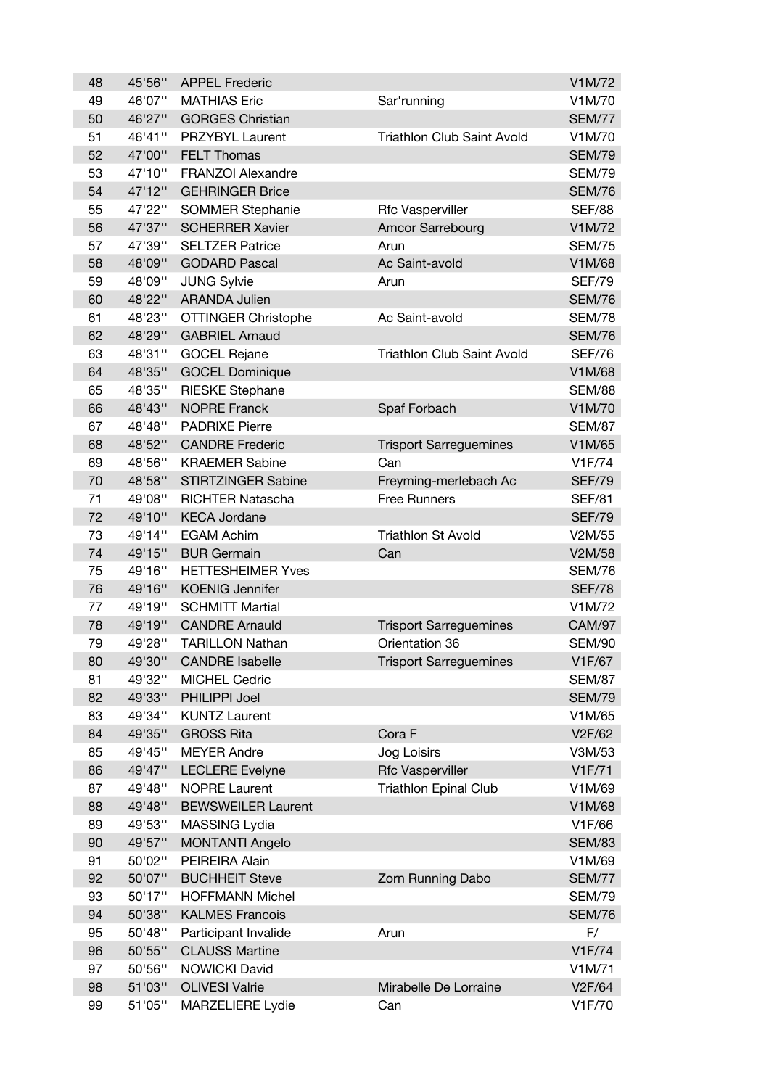| 48 | 45'56" | <b>APPEL Frederic</b>      |                                   | V1M/72        |
|----|--------|----------------------------|-----------------------------------|---------------|
| 49 | 46'07" | <b>MATHIAS Eric</b>        | Sar'running                       | V1M/70        |
| 50 | 46'27" | <b>GORGES Christian</b>    |                                   | <b>SEM/77</b> |
| 51 | 46'41" | PRZYBYL Laurent            | <b>Triathlon Club Saint Avold</b> | V1M/70        |
| 52 | 47'00" | <b>FELT Thomas</b>         |                                   | <b>SEM/79</b> |
| 53 | 47'10" | FRANZOI Alexandre          |                                   | <b>SEM/79</b> |
| 54 | 47'12" | <b>GEHRINGER Brice</b>     |                                   | <b>SEM/76</b> |
| 55 | 47'22" | <b>SOMMER Stephanie</b>    | Rfc Vasperviller                  | <b>SEF/88</b> |
| 56 | 47'37" | <b>SCHERRER Xavier</b>     | Amcor Sarrebourg                  | V1M/72        |
| 57 | 47'39" | <b>SELTZER Patrice</b>     | Arun                              | <b>SEM/75</b> |
| 58 | 48'09" | <b>GODARD Pascal</b>       | Ac Saint-avold                    | V1M/68        |
| 59 | 48'09" | <b>JUNG Sylvie</b>         | Arun                              | <b>SEF/79</b> |
| 60 | 48'22" | <b>ARANDA Julien</b>       |                                   | <b>SEM/76</b> |
| 61 | 48'23" | <b>OTTINGER Christophe</b> | Ac Saint-avold                    | <b>SEM/78</b> |
| 62 | 48'29" | <b>GABRIEL Arnaud</b>      |                                   | <b>SEM/76</b> |
| 63 | 48'31" | <b>GOCEL Rejane</b>        | <b>Triathlon Club Saint Avold</b> | <b>SEF/76</b> |
| 64 | 48'35" | <b>GOCEL Dominique</b>     |                                   | V1M/68        |
| 65 | 48'35" | <b>RIESKE Stephane</b>     |                                   | <b>SEM/88</b> |
| 66 | 48'43" | <b>NOPRE Franck</b>        | Spaf Forbach                      | V1M/70        |
| 67 | 48'48" | <b>PADRIXE Pierre</b>      |                                   | <b>SEM/87</b> |
| 68 | 48'52" | <b>CANDRE Frederic</b>     | <b>Trisport Sarreguemines</b>     | V1M/65        |
| 69 | 48'56" | <b>KRAEMER Sabine</b>      | Can                               | V1F/74        |
| 70 | 48'58" | STIRTZINGER Sabine         | Freyming-merlebach Ac             | <b>SEF/79</b> |
| 71 | 49'08" | <b>RICHTER Natascha</b>    | <b>Free Runners</b>               | <b>SEF/81</b> |
| 72 | 49'10" | <b>KECA Jordane</b>        |                                   | <b>SEF/79</b> |
| 73 | 49'14" | <b>EGAM Achim</b>          | <b>Triathlon St Avold</b>         | V2M/55        |
| 74 | 49'15" | <b>BUR Germain</b>         | Can                               | V2M/58        |
| 75 | 49'16" | <b>HETTESHEIMER Yves</b>   |                                   | <b>SEM/76</b> |
| 76 | 49'16" | <b>KOENIG Jennifer</b>     |                                   | <b>SEF/78</b> |
| 77 | 49'19" | <b>SCHMITT Martial</b>     |                                   | V1M/72        |
| 78 | 49'19" | <b>CANDRE Arnauld</b>      | <b>Trisport Sarreguemines</b>     | <b>CAM/97</b> |
| 79 | 49'28" | <b>TARILLON Nathan</b>     | Orientation 36                    | <b>SEM/90</b> |
| 80 | 49'30" | <b>CANDRE Isabelle</b>     | <b>Trisport Sarreguemines</b>     | V1F/67        |
| 81 | 49'32" | <b>MICHEL Cedric</b>       |                                   | <b>SEM/87</b> |
| 82 | 49'33" | PHILIPPI Joel              |                                   | <b>SEM/79</b> |
| 83 | 49'34" | <b>KUNTZ Laurent</b>       |                                   | V1M/65        |
| 84 | 49'35" | <b>GROSS Rita</b>          | Cora F                            | V2F/62        |
| 85 | 49'45" | <b>MEYER Andre</b>         | Jog Loisirs                       | V3M/53        |
| 86 | 49'47" | <b>LECLERE</b> Evelyne     | <b>Rfc Vasperviller</b>           | V1F/71        |
| 87 | 49'48" | <b>NOPRE Laurent</b>       | <b>Triathlon Epinal Club</b>      | V1M/69        |
| 88 | 49'48" | <b>BEWSWEILER Laurent</b>  |                                   | V1M/68        |
| 89 | 49'53" | MASSING Lydia              |                                   | V1F/66        |
| 90 | 49'57" | <b>MONTANTI Angelo</b>     |                                   | <b>SEM/83</b> |
| 91 | 50'02" | PEIREIRA Alain             |                                   | V1M/69        |
| 92 | 50'07" | <b>BUCHHEIT Steve</b>      | Zorn Running Dabo                 | <b>SEM/77</b> |
| 93 | 50'17" | <b>HOFFMANN Michel</b>     |                                   | <b>SEM/79</b> |
| 94 | 50'38" | <b>KALMES Francois</b>     |                                   | <b>SEM/76</b> |
| 95 | 50'48" | Participant Invalide       | Arun                              | F/            |
| 96 | 50'55" | <b>CLAUSS Martine</b>      |                                   | V1F/74        |
| 97 | 50'56" | <b>NOWICKI David</b>       |                                   | V1M/71        |
| 98 | 51'03" | <b>OLIVESI Valrie</b>      | Mirabelle De Lorraine             | V2F/64        |
| 99 | 51'05" | <b>MARZELIERE Lydie</b>    | Can                               | V1F/70        |
|    |        |                            |                                   |               |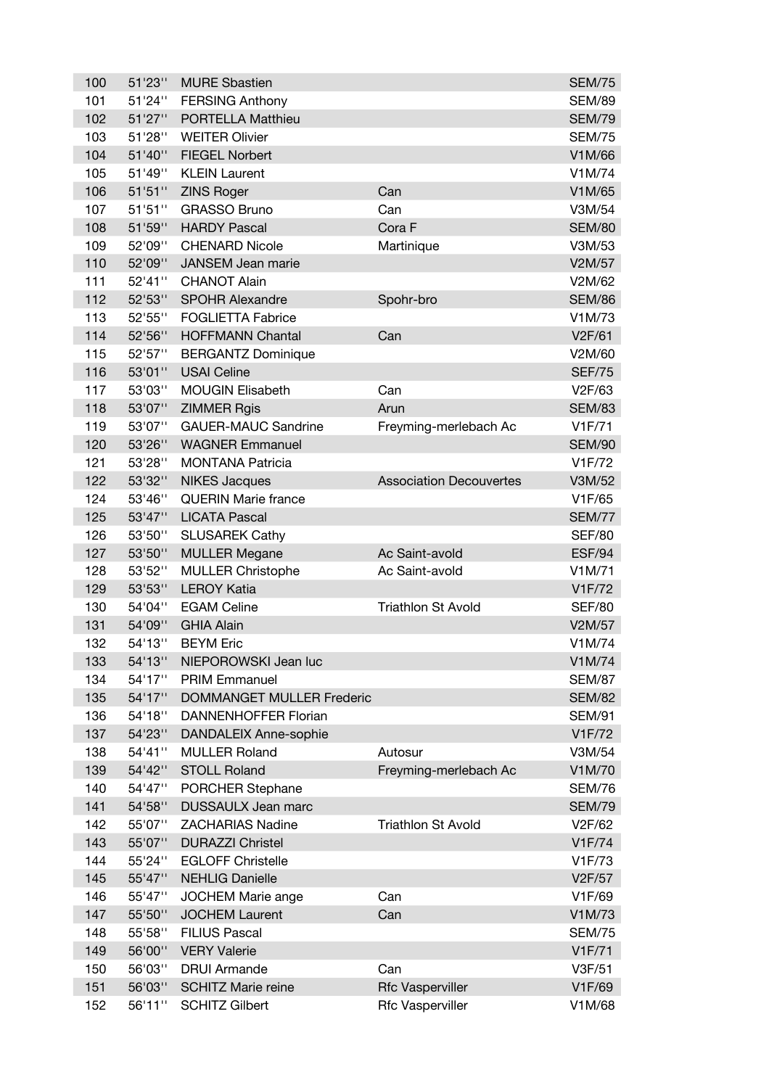| 100 | 51'23"           | <b>MURE Sbastien</b>                               |                                                    | <b>SEM/75</b>    |
|-----|------------------|----------------------------------------------------|----------------------------------------------------|------------------|
| 101 | 51'24"           | <b>FERSING Anthony</b>                             |                                                    | <b>SEM/89</b>    |
| 102 | 51'27"           | PORTELLA Matthieu                                  |                                                    | <b>SEM/79</b>    |
| 103 | 51'28"           | <b>WEITER Olivier</b>                              |                                                    | <b>SEM/75</b>    |
| 104 | 51'40"           | <b>FIEGEL Norbert</b>                              |                                                    | V1M/66           |
| 105 | 51'49"           | <b>KLEIN Laurent</b>                               |                                                    | V1M/74           |
| 106 | 51'51''          | <b>ZINS Roger</b>                                  | Can                                                | V1M/65           |
| 107 | 51'51''          | <b>GRASSO Bruno</b>                                | Can                                                | V3M/54           |
| 108 | 51'59"           | <b>HARDY Pascal</b>                                | Cora F                                             | <b>SEM/80</b>    |
| 109 | 52'09"           | <b>CHENARD Nicole</b>                              | Martinique                                         | V3M/53           |
| 110 | 52'09"           | JANSEM Jean marie                                  |                                                    | V2M/57           |
| 111 | 52'41"           | <b>CHANOT Alain</b>                                |                                                    | V2M/62           |
| 112 | 52'53"           | <b>SPOHR Alexandre</b>                             | Spohr-bro                                          | <b>SEM/86</b>    |
| 113 | 52'55"           | <b>FOGLIETTA Fabrice</b>                           |                                                    | V1M/73           |
| 114 | 52'56"           | <b>HOFFMANN Chantal</b>                            | Can                                                | V2F/61           |
| 115 | 52'57"           | <b>BERGANTZ Dominique</b>                          |                                                    | V2M/60           |
| 116 | 53'01"           | <b>USAI Celine</b>                                 |                                                    | <b>SEF/75</b>    |
| 117 | 53'03"           | <b>MOUGIN Elisabeth</b>                            | Can                                                | V2F/63           |
| 118 | 53'07"           | <b>ZIMMER Rgis</b>                                 | Arun                                               | <b>SEM/83</b>    |
| 119 | 53'07"           | <b>GAUER-MAUC Sandrine</b>                         | Freyming-merlebach Ac                              | V1F/71           |
| 120 | 53'26"           | <b>WAGNER Emmanuel</b>                             |                                                    | <b>SEM/90</b>    |
| 121 | 53'28"           | <b>MONTANA Patricia</b>                            |                                                    | V1F/72           |
| 122 | 53'32"           | <b>NIKES Jacques</b>                               | <b>Association Decouvertes</b>                     | V3M/52           |
| 124 | 53'46"           | <b>QUERIN Marie france</b>                         |                                                    | V1F/65           |
| 125 | 53'47"           | <b>LICATA Pascal</b>                               |                                                    | <b>SEM/77</b>    |
| 126 | 53'50"           | <b>SLUSAREK Cathy</b>                              |                                                    | <b>SEF/80</b>    |
| 127 | 53'50"           | <b>MULLER Megane</b>                               | Ac Saint-avold                                     | <b>ESF/94</b>    |
| 128 | 53'52"           | <b>MULLER Christophe</b>                           | Ac Saint-avold                                     | V1M/71           |
| 129 | 53'53"           | <b>LEROY Katia</b>                                 |                                                    | V1F/72           |
| 130 | 54'04"           | <b>EGAM Celine</b>                                 | <b>Triathlon St Avold</b>                          | <b>SEF/80</b>    |
| 131 | 54'09"           | <b>GHIA Alain</b>                                  |                                                    | V2M/57           |
| 132 | 54'13"           | <b>BEYM Eric</b>                                   |                                                    | V1M/74           |
| 133 | 54'13"           | NIEPOROWSKI Jean luc                               |                                                    | V1M/74           |
| 134 | 54'17"           | <b>PRIM Emmanuel</b>                               |                                                    | <b>SEM/87</b>    |
| 135 | 54'17"           | <b>DOMMANGET MULLER Frederic</b>                   |                                                    | <b>SEM/82</b>    |
| 136 | 54'18"           | <b>DANNENHOFFER Florian</b>                        |                                                    | <b>SEM/91</b>    |
| 137 | 54'23"           | DANDALEIX Anne-sophie                              |                                                    | V1F/72           |
| 138 | 54'41"           | <b>MULLER Roland</b>                               | Autosur                                            | V3M/54           |
| 139 | 54'42"           | <b>STOLL Roland</b>                                | Freyming-merlebach Ac                              | V1M/70           |
| 140 | 54'47"           | PORCHER Stephane                                   |                                                    | <b>SEM/76</b>    |
| 141 |                  |                                                    |                                                    |                  |
| 142 | 54'58"           | <b>DUSSAULX Jean marc</b>                          |                                                    | <b>SEM/79</b>    |
|     | 55'07"           | <b>ZACHARIAS Nadine</b>                            | <b>Triathlon St Avold</b>                          | V2F/62           |
| 143 | 55'07"           | <b>DURAZZI Christel</b>                            |                                                    | V1F/74           |
| 144 | 55'24"           | <b>EGLOFF Christelle</b>                           |                                                    | V1F/73           |
| 145 | 55'47"           | <b>NEHLIG Danielle</b>                             |                                                    | V2F/57           |
| 146 | 55'47"           | JOCHEM Marie ange                                  | Can                                                | V1F/69           |
| 147 | 55'50"           | <b>JOCHEM Laurent</b>                              | Can                                                | V1M/73           |
| 148 | 55'58"           | <b>FILIUS Pascal</b>                               |                                                    | <b>SEM/75</b>    |
| 149 | 56'00"           | <b>VERY Valerie</b>                                |                                                    | V1F/71           |
| 150 | 56'03"           | <b>DRUI Armande</b>                                | Can                                                | V3F/51           |
| 151 | 56'03"<br>56'11" | <b>SCHITZ Marie reine</b><br><b>SCHITZ Gilbert</b> | <b>Rfc Vasperviller</b><br><b>Rfc Vasperviller</b> | V1F/69<br>V1M/68 |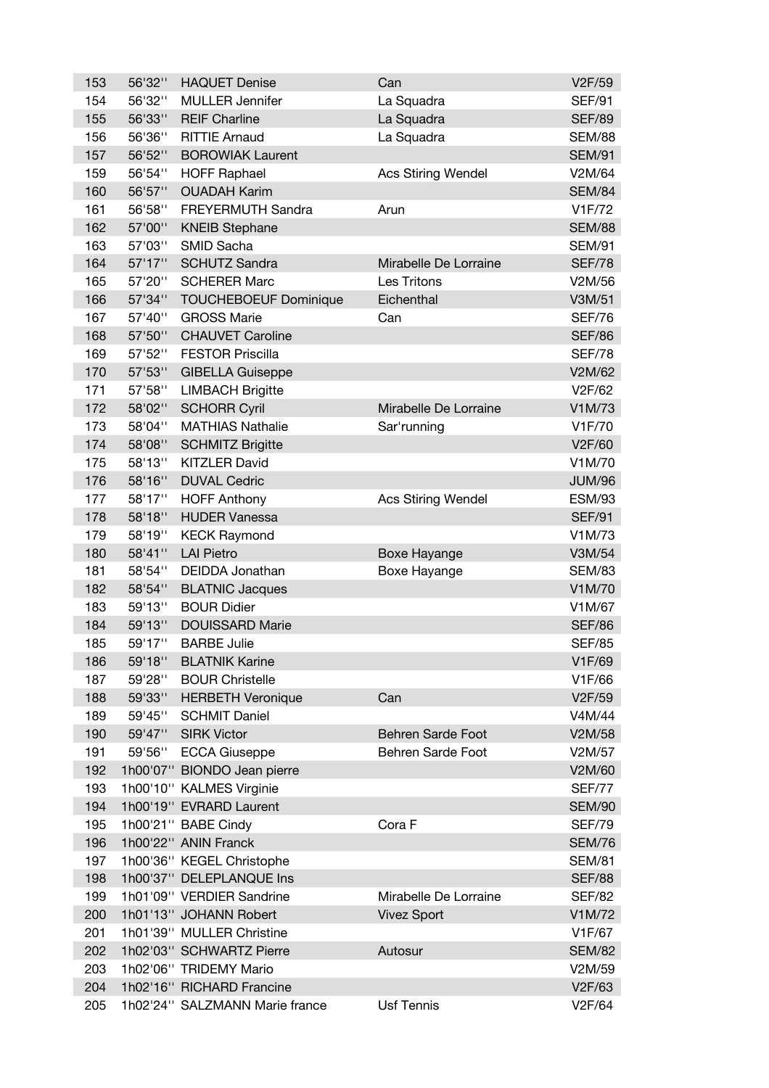| 153 | 56'32" | <b>HAQUET Denise</b>           | Can                       | V2F/59        |
|-----|--------|--------------------------------|---------------------------|---------------|
| 154 | 56'32" | <b>MULLER Jennifer</b>         | La Squadra                | <b>SEF/91</b> |
| 155 | 56'33" | <b>REIF Charline</b>           | La Squadra                | <b>SEF/89</b> |
| 156 | 56'36" | <b>RITTIE Arnaud</b>           | La Squadra                | <b>SEM/88</b> |
| 157 | 56'52" | <b>BOROWIAK Laurent</b>        |                           | <b>SEM/91</b> |
| 159 | 56'54" | <b>HOFF Raphael</b>            | <b>Acs Stiring Wendel</b> | V2M/64        |
| 160 | 56'57" | <b>OUADAH Karim</b>            |                           | <b>SEM/84</b> |
| 161 | 56'58" | FREYERMUTH Sandra              | Arun                      | V1F/72        |
| 162 | 57'00" | <b>KNEIB Stephane</b>          |                           | <b>SEM/88</b> |
| 163 | 57'03" | SMID Sacha                     |                           | <b>SEM/91</b> |
| 164 | 57'17" | <b>SCHUTZ Sandra</b>           | Mirabelle De Lorraine     | <b>SEF/78</b> |
| 165 | 57'20" | <b>SCHERER Marc</b>            | Les Tritons               | V2M/56        |
| 166 | 57'34" | <b>TOUCHEBOEUF Dominique</b>   | Eichenthal                | V3M/51        |
| 167 | 57'40" | <b>GROSS Marie</b>             | Can                       | <b>SEF/76</b> |
| 168 | 57'50" | <b>CHAUVET Caroline</b>        |                           | <b>SEF/86</b> |
| 169 | 57'52" | <b>FESTOR Priscilla</b>        |                           | <b>SEF/78</b> |
| 170 | 57'53" | <b>GIBELLA Guiseppe</b>        |                           | V2M/62        |
| 171 | 57'58" | <b>LIMBACH Brigitte</b>        |                           | V2F/62        |
| 172 | 58'02" | <b>SCHORR Cyril</b>            | Mirabelle De Lorraine     | V1M/73        |
| 173 | 58'04" | <b>MATHIAS Nathalie</b>        | Sar'running               | V1F/70        |
| 174 | 58'08" | <b>SCHMITZ Brigitte</b>        |                           | V2F/60        |
| 175 | 58'13" | <b>KITZLER David</b>           |                           | V1M/70        |
| 176 | 58'16" | <b>DUVAL Cedric</b>            |                           | <b>JUM/96</b> |
| 177 | 58'17" | <b>HOFF Anthony</b>            | <b>Acs Stiring Wendel</b> | <b>ESM/93</b> |
| 178 | 58'18" | <b>HUDER Vanessa</b>           |                           | <b>SEF/91</b> |
| 179 | 58'19" | <b>KECK Raymond</b>            |                           | V1M/73        |
| 180 | 58'41" | <b>LAI Pietro</b>              | Boxe Hayange              | V3M/54        |
| 181 | 58'54" | DEIDDA Jonathan                | Boxe Hayange              | <b>SEM/83</b> |
| 182 | 58'54" | <b>BLATNIC Jacques</b>         |                           | V1M/70        |
| 183 | 59'13" | <b>BOUR Didier</b>             |                           | V1M/67        |
| 184 | 59'13" | <b>DOUISSARD Marie</b>         |                           | <b>SEF/86</b> |
| 185 | 59'17" | <b>BARBE Julie</b>             |                           | <b>SEF/85</b> |
| 186 | 59'18" | <b>BLATNIK Karine</b>          |                           | V1F/69        |
| 187 | 59'28" | <b>BOUR Christelle</b>         |                           | V1F/66        |
| 188 | 59'33" | <b>HERBETH Veronique</b>       | Can                       | V2F/59        |
| 189 | 59'45" | <b>SCHMIT Daniel</b>           |                           | V4M/44        |
| 190 | 59'47" | <b>SIRK Victor</b>             | Behren Sarde Foot         | V2M/58        |
| 191 | 59'56" | <b>ECCA Giuseppe</b>           | Behren Sarde Foot         | V2M/57        |
| 192 |        | 1h00'07" BIONDO Jean pierre    |                           | V2M/60        |
| 193 |        | 1h00'10" KALMES Virginie       |                           | <b>SEF/77</b> |
| 194 |        | 1h00'19" EVRARD Laurent        |                           | <b>SEM/90</b> |
| 195 |        | 1h00'21" BABE Cindy            | Cora F                    | <b>SEF/79</b> |
| 196 |        | 1h00'22" ANIN Franck           |                           | <b>SEM/76</b> |
| 197 |        | 1h00'36" KEGEL Christophe      |                           | <b>SEM/81</b> |
| 198 |        | 1h00'37" DELEPLANQUE Ins       |                           | <b>SEF/88</b> |
| 199 |        | 1h01'09" VERDIER Sandrine      | Mirabelle De Lorraine     | <b>SEF/82</b> |
| 200 |        | 1h01'13" JOHANN Robert         | <b>Vivez Sport</b>        | V1M/72        |
| 201 |        | 1h01'39" MULLER Christine      |                           | V1F/67        |
| 202 |        | 1h02'03" SCHWARTZ Pierre       | Autosur                   | <b>SEM/82</b> |
| 203 |        | 1h02'06" TRIDEMY Mario         |                           | V2M/59        |
| 204 |        | 1h02'16" RICHARD Francine      |                           | V2F/63        |
| 205 |        | 1h02'24" SALZMANN Marie france | <b>Usf Tennis</b>         | V2F/64        |